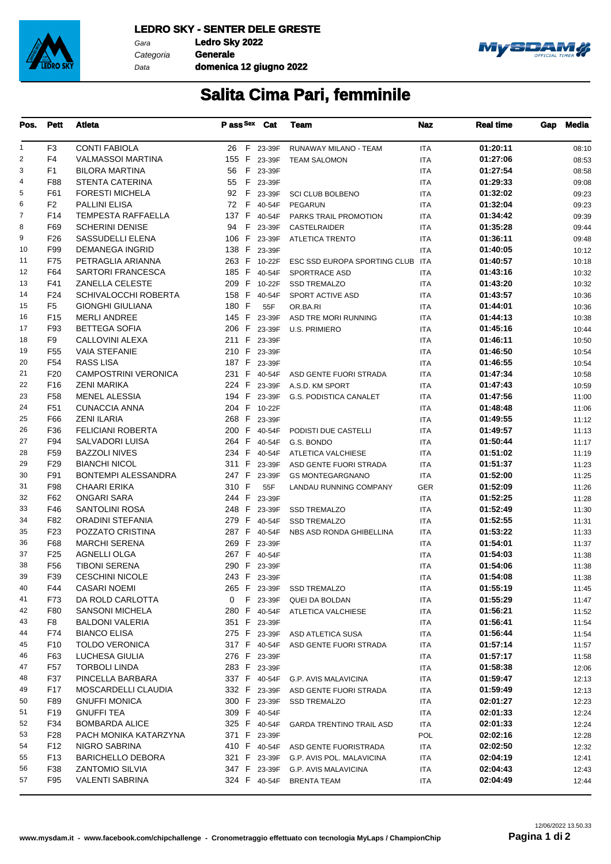

Gara **Ledro Sky 2022** Categoria **Generale**

Data

**domenica 12 giugno 2022**



## **Salita Cima Pari, femminile**

| Pos.           | <b>Pett</b>            | Atleta                                      | Pass <sup>Sex</sup> Cat      |        | Team                                        | Naz               | <b>Real time</b>     | Gap | Media          |
|----------------|------------------------|---------------------------------------------|------------------------------|--------|---------------------------------------------|-------------------|----------------------|-----|----------------|
| 1              | F3                     | <b>CONTI FABIOLA</b>                        | 26 F 23-39F                  |        | RUNAWAY MILANO - TEAM                       | <b>ITA</b>        | 01:20:11             |     | 08:10          |
| $\overline{2}$ | F4                     | <b>VALMASSOI MARTINA</b>                    | 155 F 23-39F                 |        | <b>TEAM SALOMON</b>                         | <b>ITA</b>        | 01:27:06             |     | 08:53          |
| 3              | F1                     | <b>BILORA MARTINA</b>                       | 56 F 23-39F                  |        |                                             | <b>ITA</b>        | 01:27:54             |     | 08:58          |
| 4              | F88                    | <b>STENTA CATERINA</b>                      | 55 F 23-39F                  |        |                                             | <b>ITA</b>        | 01:29:33             |     | 09:08          |
| 5              | F61                    | <b>FORESTI MICHELA</b>                      | 92 F 23-39F                  |        | <b>SCI CLUB BOLBENO</b>                     | <b>ITA</b>        | 01:32:02             |     | 09:23          |
| 6              | F2                     | PALLINI ELISA                               | 72 F 40-54F                  |        | PEGARUN                                     | <b>ITA</b>        | 01:32:04             |     | 09:23          |
| $\overline{7}$ | F14                    | <b>TEMPESTA RAFFAELLA</b>                   | 137 F 40-54F                 |        | PARKS TRAIL PROMOTION                       | <b>ITA</b>        | 01:34:42             |     | 09:39          |
| 8              | F69                    | <b>SCHERINI DENISE</b>                      | 94 F                         | 23-39F | <b>CASTELRAIDER</b>                         | <b>ITA</b>        | 01:35:28             |     | 09:44          |
| 9              | F <sub>26</sub>        | SASSUDELLI ELENA                            | 106 F 23-39F                 |        | <b>ATLETICA TRENTO</b>                      | <b>ITA</b>        | 01:36:11             |     | 09:48          |
| 10             | F99                    | <b>DEMANEGA INGRID</b>                      | 138 F 23-39F                 |        |                                             | <b>ITA</b>        | 01:40:05             |     | 10:12          |
| 11             | F75                    | PETRAGLIA ARIANNA                           | 263 F 10-22F                 |        | ESC SSD EUROPA SPORTING CLUB ITA            |                   | 01:40:57             |     | 10:18          |
| 12             | F64                    | SARTORI FRANCESCA                           | 185 F 40-54F                 |        | SPORTRACE ASD                               | <b>ITA</b>        | 01:43:16             |     | 10:32          |
| 13             | F41                    | <b>ZANELLA CELESTE</b>                      | 209 F 10-22F                 |        | <b>SSD TREMALZO</b>                         | <b>ITA</b>        | 01:43:20             |     | 10:32          |
| 14             | F <sub>24</sub>        | <b>SCHIVALOCCHI ROBERTA</b>                 | 158 F 40-54F                 |        | SPORT ACTIVE ASD                            | <b>ITA</b>        | 01:43:57             |     | 10:36          |
| 15             | F5                     | <b>GIONGHI GIULIANA</b>                     | 180 F                        | 55F    | OR.BA.RI                                    | <b>ITA</b>        | 01:44:01             |     | 10:36          |
| 16             | F <sub>15</sub>        | <b>MERLI ANDREE</b>                         | 145 F 23-39F                 |        | ASD TRE MORI RUNNING                        | <b>ITA</b>        | 01:44:13             |     | 10:38          |
| 17             | F93                    | <b>BETTEGA SOFIA</b>                        | 206 F 23-39F                 |        | <b>U.S. PRIMIERO</b>                        | ITA               | 01:45:16             |     | 10:44          |
| 18             | F9                     | CALLOVINI ALEXA                             | 211 F                        | 23-39F |                                             | <b>ITA</b>        | 01:46:11             |     | 10:50          |
| 19             | F <sub>55</sub>        | <b>VAIA STEFANIE</b>                        | 210 F 23-39F                 |        |                                             | <b>ITA</b>        | 01:46:50             |     | 10:54          |
| 20             | F54                    | <b>RASS LISA</b>                            | 187 F                        | 23-39F |                                             | <b>ITA</b>        | 01:46:55             |     | 10:54          |
| 21             | F <sub>20</sub>        | <b>CAMPOSTRINI VERONICA</b>                 | 231 F 40-54F                 |        | ASD GENTE FUORI STRADA                      | <b>ITA</b>        | 01:47:34             |     | 10:58          |
| 22             | F <sub>16</sub>        | <b>ZENI MARIKA</b>                          | 224 F 23-39F                 |        | A.S.D. KM SPORT                             | <b>ITA</b>        | 01:47:43             |     | 10:59          |
| 23             | F <sub>58</sub>        | <b>MENEL ALESSIA</b>                        | 194 F 23-39F                 |        | <b>G.S. PODISTICA CANALET</b>               | <b>ITA</b>        | 01:47:56             |     | 11:00          |
| 24             | F51                    | <b>CUNACCIA ANNA</b>                        | 204 F 10-22F                 |        |                                             | <b>ITA</b>        | 01:48:48             |     | 11:06          |
| 25             | F66                    | <b>ZENI ILARIA</b>                          | 268 F 23-39F                 |        |                                             | <b>ITA</b>        | 01:49:55             |     | 11:12          |
| 26             | F36                    | <b>FELICIANI ROBERTA</b>                    | 200 F 40-54F                 |        | PODISTI DUE CASTELLI                        | <b>ITA</b>        | 01:49:57             |     | 11:13          |
| 27             | F94                    | SALVADORI LUISA                             | 264 F 40-54F                 |        | G.S. BONDO                                  | <b>ITA</b>        | 01:50:44             |     | 11:17          |
| 28             | F <sub>59</sub>        | <b>BAZZOLI NIVES</b>                        | 234 F 40-54F                 |        | ATLETICA VALCHIESE                          | <b>ITA</b>        | 01:51:02             |     | 11:19          |
| 29             | F <sub>29</sub>        | <b>BIANCHI NICOL</b>                        | 311 F 23-39F                 |        | ASD GENTE FUORI STRADA                      | <b>ITA</b>        | 01:51:37             |     | 11:23          |
| 30             | F91                    | <b>BONTEMPI ALESSANDRA</b>                  | 247 F                        | 23-39F | <b>GS MONTEGARGNANO</b>                     | ITA               | 01:52:00             |     | 11:25          |
| 31             | F98                    | <b>CHAARI ERIKA</b>                         | 310 F                        | 55F    | LANDAU RUNNING COMPANY                      | <b>GER</b>        | 01:52:09             |     | 11:26          |
| 32             | F62                    | ONGARI SARA                                 | 244 F                        | 23-39F |                                             | <b>ITA</b>        | 01:52:25             |     | 11:28          |
| 33             | F46                    | SANTOLINI ROSA                              | 248 F 23-39F                 |        | <b>SSD TREMALZO</b>                         | <b>ITA</b>        | 01:52:49             |     | 11:30          |
| 34             | F82                    | ORADINI STEFANIA                            | 279 F 40-54F                 |        | <b>SSD TREMALZO</b>                         | <b>ITA</b>        | 01:52:55             |     | 11:31          |
| 35             | F <sub>23</sub>        | POZZATO CRISTINA                            | 287 F 40-54F                 |        | NBS ASD RONDA GHIBELLINA                    | <b>ITA</b>        | 01:53:22             |     | 11:33          |
| 36<br>37       | F68<br>F <sub>25</sub> | <b>MARCHI SERENA</b><br><b>AGNELLI OLGA</b> | 269 F 23-39F<br>267 F 40-54F |        |                                             | <b>ITA</b>        | 01:54:01<br>01:54:03 |     | 11:37          |
| 38             | F <sub>56</sub>        | <b>TIBONI SERENA</b>                        | 290 F 23-39F                 |        |                                             | <b>ITA</b>        | 01:54:06             |     | 11:38          |
| 39             | F39                    | <b>CESCHINI NICOLE</b>                      | 243 F 23-39F                 |        |                                             | <b>ITA</b>        | 01:54:08             |     | 11:38          |
| 40             | F44                    | <b>CASARI NOEMI</b>                         |                              |        |                                             | <b>ITA</b>        | 01:55:19             |     | 11:38          |
| 41             | F73                    | DA ROLD CARLOTTA                            | 0 F 23-39F                   |        | 265 F 23-39F SSD TREMALZO<br>QUEI DA BOLDAN | ITA<br><b>ITA</b> | 01:55:29             |     | 11:45<br>11:47 |
| 42             | F80                    | SANSONI MICHELA                             |                              |        | 280 F 40-54F ATLETICA VALCHIESE             | ITA               | 01:56:21             |     | 11:52          |
| 43             | F8                     | <b>BALDONI VALERIA</b>                      | 351 F 23-39F                 |        |                                             | ITA               | 01:56:41             |     | 11:54          |
| 44             | F74                    | <b>BIANCO ELISA</b>                         | 275 F 23-39F                 |        | ASD ATLETICA SUSA                           | ITA               | 01:56:44             |     | 11:54          |
| 45             | F <sub>10</sub>        | <b>TOLDO VERONICA</b>                       | 317 F 40-54F                 |        | ASD GENTE FUORI STRADA                      | ITA               | 01:57:14             |     | 11:57          |
| 46             | F63                    | LUCHESA GIULIA                              | 276 F 23-39F                 |        |                                             | ITA               | 01:57:17             |     | 11:58          |
| 47             | F <sub>57</sub>        | TORBOLI LINDA                               | 283 F 23-39F                 |        |                                             | ITA               | 01:58:38             |     | 12:06          |
| 48             | F37                    | PINCELLA BARBARA                            | 337 F 40-54F                 |        | G.P. AVIS MALAVICINA                        | ITA               | 01:59:47             |     | 12:13          |
| 49             | F17                    | MOSCARDELLI CLAUDIA                         | 332 F 23-39F                 |        | ASD GENTE FUORI STRADA                      | <b>ITA</b>        | 01:59:49             |     | 12:13          |
| 50             | F89                    | <b>GNUFFI MONICA</b>                        | 300 F 23-39F                 |        | <b>SSD TREMALZO</b>                         | ITA               | 02:01:27             |     | 12:23          |
| 51             | F19                    | <b>GNUFFI TEA</b>                           | 309 F 40-54F                 |        |                                             | ITA               | 02:01:33             |     | 12:24          |
| 52             | F34                    | <b>BOMBARDA ALICE</b>                       | 325 F 40-54F                 |        | <b>GARDA TRENTINO TRAIL ASD</b>             | ITA               | 02:01:33             |     | 12:24          |
| 53             | F <sub>28</sub>        | PACH MONIKA KATARZYNA                       | 371 F 23-39F                 |        |                                             | POL               | 02:02:16             |     | 12:28          |
| 54             | F12                    | NIGRO SABRINA                               |                              |        | 410 F 40-54F ASD GENTE FUORISTRADA          | ITA               | 02:02:50             |     | 12:32          |
| 55             | F <sub>13</sub>        | <b>BARICHELLO DEBORA</b>                    | 321 F 23-39F                 |        | G.P. AVIS POL. MALAVICINA                   | <b>ITA</b>        | 02:04:19             |     | 12:41          |
| 56             | F38                    | <b>ZANTOMIO SILVIA</b>                      | 347 F 23-39F                 |        | G.P. AVIS MALAVICINA                        | <b>ITA</b>        | 02:04:43             |     | 12:43          |
| 57             | F95                    | <b>VALENTI SABRINA</b>                      | 324 F 40-54F                 |        | <b>BRENTA TEAM</b>                          | ITA               | 02:04:49             |     | 12:44          |
|                |                        |                                             |                              |        |                                             |                   |                      |     |                |